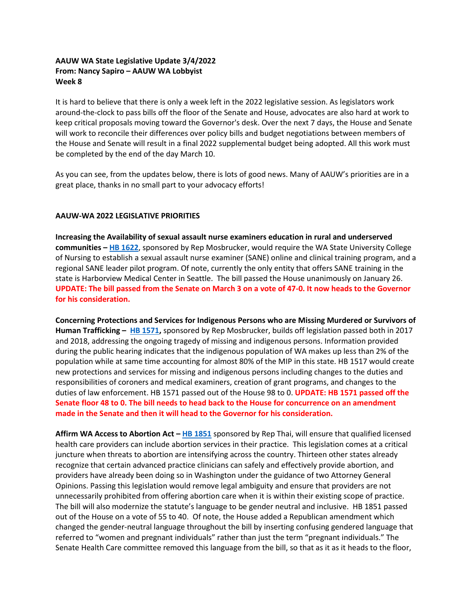## **AAUW WA State Legislative Update 3/4/2022 From: Nancy Sapiro – AAUW WA Lobbyist Week 8**

It is hard to believe that there is only a week left in the 2022 legislative session. As legislators work around-the-clock to pass bills off the floor of the Senate and House, advocates are also hard at work to keep critical proposals moving toward the Governor's desk. Over the next 7 days, the House and Senate will work to reconcile their differences over policy bills and budget negotiations between members of the House and Senate will result in a final 2022 supplemental budget being adopted. All this work must be completed by the end of the day March 10.

As you can see, from the updates below, there is lots of good news. Many of AAUW's priorities are in a great place, thanks in no small part to your advocacy efforts!

## **AAUW-WA 2022 LEGISLATIVE PRIORITIES**

**Increasing the Availability of sexual assault nurse examiners education in rural and underserved communities – [HB 1622](https://app.leg.wa.gov/billsummary?BillNumber=1622&Initiative=false&Year=2021)**, sponsored by Rep Mosbrucker, would require the WA State University College of Nursing to establish a sexual assault nurse examiner (SANE) online and clinical training program, and a regional SANE leader pilot program. Of note, currently the only entity that offers SANE training in the state is Harborview Medical Center in Seattle. The bill passed the House unanimously on January 26. **UPDATE: The bill passed from the Senate on March 3 on a vote of 47-0. It now heads to the Governor for his consideration.** 

**Concerning Protections and Services for Indigenous Persons who are Missing Murdered or Survivors of Human Trafficking – [HB 1571,](https://app.leg.wa.gov/billsummary?BillNumber=1571&Year=2021&Initiative=false)** sponsored by Rep Mosbrucker, builds off legislation passed both in 2017 and 2018, addressing the ongoing tragedy of missing and indigenous persons. Information provided during the public hearing indicates that the indigenous population of WA makes up less than 2% of the population while at same time accounting for almost 80% of the MIP in this state. HB 1517 would create new protections and services for missing and indigenous persons including changes to the duties and responsibilities of coroners and medical examiners, creation of grant programs, and changes to the duties of law enforcement. HB 1571 passed out of the House 98 to 0. **UPDATE: HB 1571 passed off the Senate floor 48 to 0. The bill needs to head back to the House for concurrence on an amendment made in the Senate and then it will head to the Governor for his consideration.** 

**Affirm WA Access to Abortion Act – [HB 1851](https://app.leg.wa.gov/billsummary?BillNumber=1851&Initiative=false&Year=2021)** sponsored by Rep Thai, will ensure that qualified licensed health care providers can include abortion services in their practice. This legislation comes at a critical juncture when threats to abortion are intensifying across the country. Thirteen other states already recognize that certain advanced practice clinicians can safely and effectively provide abortion, and providers have already been doing so in Washington under the guidance of two Attorney General Opinions. Passing this legislation would remove legal ambiguity and ensure that providers are not unnecessarily prohibited from offering abortion care when it is within their existing scope of practice. The bill will also modernize the statute's language to be gender neutral and inclusive. HB 1851 passed out of the House on a vote of 55 to 40. Of note, the House added a Republican amendment which changed the gender-neutral language throughout the bill by inserting confusing gendered language that referred to "women and pregnant individuals" rather than just the term "pregnant individuals." The Senate Health Care committee removed this language from the bill, so that as it as it heads to the floor,